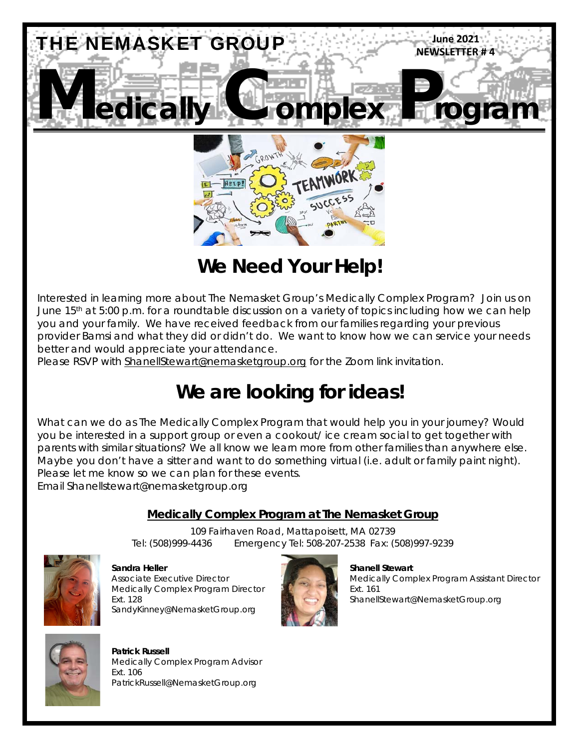

### **We Need Your Help!**

Interested in learning more about The Nemasket Group's Medically Complex Program? Join us on June 15<sup>th</sup> at 5:00 p.m. for a roundtable discussion on a variety of topics including how we can help you and your family. We have received feedback from our families regarding your previous provider Bamsi and what they did or didn't do. We want to know how we can service your needs better and would appreciate your attendance.

Please RSVP with ShanellStewart@nemasketgroup.org for the Zoom link invitation.

### **We are looking for ideas!**

What can we do as The Medically Complex Program that would help you in your journey? Would you be interested in a support group or even a cookout/ ice cream social to get together with parents with similar situations? We all know we learn more from other families than anywhere else. Maybe you don't have a sitter and want to do something virtual (i.e. adult or family paint night). Please let me know so we can plan for these events.

Email Shanellstewart@nemasketgroup.org

#### **Medically Complex Program at The Nemasket Group**

109 Fairhaven Road, Mattapoisett, MA 02739 Tel: (508)999-4436 Emergency Tel: 508-207-2538 Fax: (508)997-9239



**Sandra Heller Shanell Stewart All Shanell Stewart**  Shanell Stewart Medically Complex Program Director **Ext. 161** Ext. 161 SandyKinney@NemasketGroup.org



Associate Executive Director Medically Complex Program Assistant Director Ext. 128 ShanellStewart@NemasketGroup.org



 **Patrick Russell** Medically Complex Program Advisor Ext. 106 PatrickRussell@NemasketGroup.org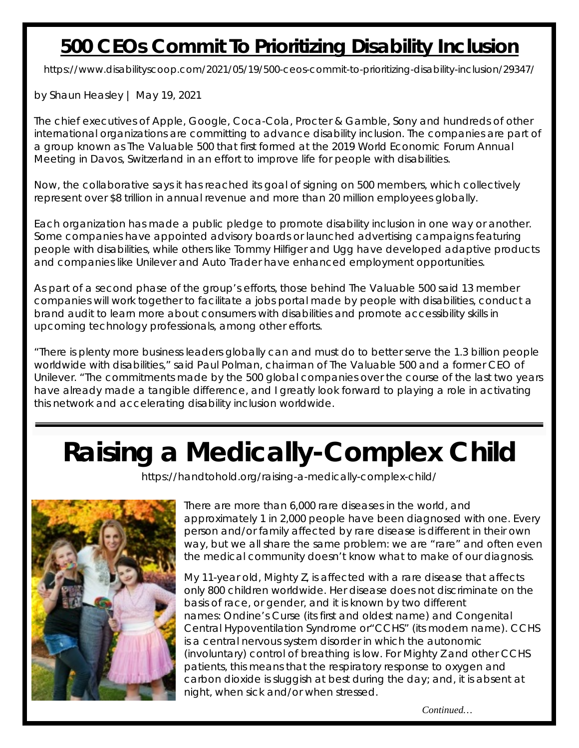### **500 CEOs Commit To Prioritizing Disability Inclusion**

https://www.disabilityscoop.com/2021/05/19/500-ceos-commit-to-prioritizing-disability-inclusion/29347/

by Shaun Heasley | May 19, 2021

The chief executives of Apple, Google, Coca-Cola, Procter & Gamble, Sony and hundreds of other international organizations are committing to advance disability inclusion. The companies are part of a group known as The Valuable 500 that first formed at the 2019 World Economic Forum Annual Meeting in Davos, Switzerland in an effort to improve life for people with disabilities.

Now, the collaborative says it has reached its goal of signing on 500 members, which collectively represent over \$8 trillion in annual revenue and more than 20 million employees globally.

Each organization has made a public pledge to promote disability inclusion in one way or another. Some companies have appointed advisory boards or launched advertising campaigns featuring people with disabilities, while others like Tommy Hilfiger and Ugg have developed adaptive products and companies like Unilever and Auto Trader have enhanced employment opportunities.

As part of a second phase of the group's efforts, those behind The Valuable 500 said 13 member companies will work together to facilitate a jobs portal made by people with disabilities, conduct a brand audit to learn more about consumers with disabilities and promote accessibility skills in upcoming technology professionals, among other efforts.

"There is plenty more business leaders globally can and must do to better serve the 1.3 billion people worldwide with disabilities," said Paul Polman, chairman of The Valuable 500 and a former CEO of Unilever. "The commitments made by the 500 global companies over the course of the last two years have already made a tangible difference, and I greatly look forward to playing a role in activating this network and accelerating disability inclusion worldwide.

# **Raising a Medically-Complex Child**

https://handtohold.org/raising-a-medically-complex-child/



There are more than 6,000 rare diseases in the world, and approximately 1 in 2,000 people have been diagnosed with one. Every person and/or family affected by rare disease is different in their own way, but we all share the same problem: we are "rare" and often even the medical community doesn't know what to make of our diagnosis.

My 11-year old, Mighty Z, is affected with a rare disease that affects only 800 children worldwide. Her disease does not discriminate on the basis of race, or gender, and it is known by two different names: Ondine's Curse (its first and oldest name) and Congenital Central Hypoventilation Syndrome or"CCHS" (its modern name). CCHS is a central nervous system disorder in which the autonomic (involuntary) control of breathing is low. For Mighty Z and other CCHS patients, this means that the respiratory response to oxygen and carbon dioxide is sluggish at best during the day; and, it is absent at night, when sick and/or when stressed.

*Continued…*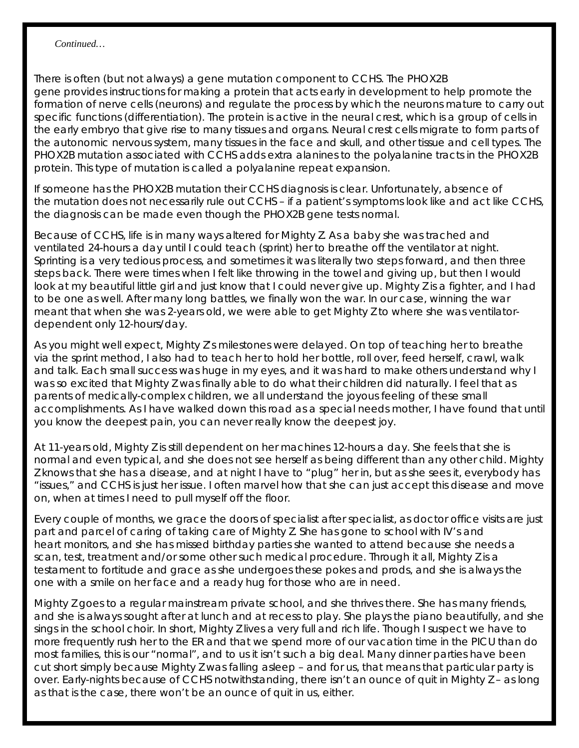#### *Continued…*

There is often (but not always) a gene mutation component to CCHS. The PHOX2B gene provides instructions for making a protein that acts early in development to help promote the formation of nerve cells (neurons) and regulate the process by which the neurons mature to carry out specific functions (differentiation). The protein is active in the neural crest, which is a group of cells in the early embryo that give rise to many tissues and organs. Neural crest cells migrate to form parts of the autonomic nervous system, many tissues in the face and skull, and other tissue and cell types. The PHOX2B mutation associated with CCHS adds extra alanines to the polyalanine tracts in the PHOX2B protein. This type of mutation is called a polyalanine repeat expansion.

If someone has the PHOX2B mutation their CCHS diagnosis is clear. Unfortunately, absence of the mutation does not necessarily rule out CCHS – if a patient's symptoms look like and act like CCHS, the diagnosis can be made even though the PHOX2B gene tests normal.

Because of CCHS, life is in many ways altered for Mighty Z. As a baby she was trached and ventilated 24-hours a day until I could teach (sprint) her to breathe off the ventilator at night. Sprinting is a very tedious process, and sometimes it was literally two steps forward, and then three steps back. There were times when I felt like throwing in the towel and giving up, but then I would look at my beautiful little girl and just know that I could never give up. Mighty Z is a fighter, and I had to be one as well. After many long battles, we finally won the war. In our case, winning the war meant that when she was 2-years old, we were able to get Mighty Z to where she was ventilatordependent only 12-hours/day.

As you might well expect, Mighty Z's milestones were delayed. On top of teaching her to breathe via the sprint method, I also had to teach her to hold her bottle, roll over, feed herself, crawl, walk and talk. Each small success was huge in my eyes, and it was hard to make others understand why I was so excited that Mighty Z was finally able to do what their children did naturally. I feel that as parents of medically-complex children, we all understand the joyous feeling of these small accomplishments. As I have walked down this road as a special needs mother, I have found that until you know the deepest pain, you can never really know the deepest joy.

At 11-years old, Mighty Z is still dependent on her machines 12-hours a day. She feels that she is normal and even typical, and she does not see herself as being different than any other child. Mighty Z knows that she has a disease, and at night I have to "plug" her in, but as she sees it, everybody has "issues," and CCHS is just her issue. I often marvel how that she can just accept this disease and move on, when at times I need to pull myself off the floor.

Every couple of months, we grace the doors of specialist after specialist, as doctor office visits are just part and parcel of caring of taking care of Mighty Z. She has gone to school with IV's and heart monitors, and she has missed birthday parties she wanted to attend because she needs a scan, test, treatment and/or some other such medical procedure. Through it all, Mighty Z is a testament to fortitude and grace as she undergoes these pokes and prods, and she is always the one with a smile on her face and a ready hug for those who are in need.

Mighty Z goes to a regular mainstream private school, and she thrives there. She has many friends, and she is always sought after at lunch and at recess to play. She plays the piano beautifully, and she sings in the school choir. In short, Mighty Z lives a very full and rich life. Though I suspect we have to more frequently rush her to the ER and that we spend more of our vacation time in the PICU than do most families, this is our "normal", and to us it isn't such a big deal. Many dinner parties have been cut short simply because Mighty Z was falling asleep – and for us, that means that particular party is over. Early-nights because of CCHS notwithstanding, there isn't an ounce of quit in Mighty Z – as long as that is the case, there won't be an ounce of quit in us, either.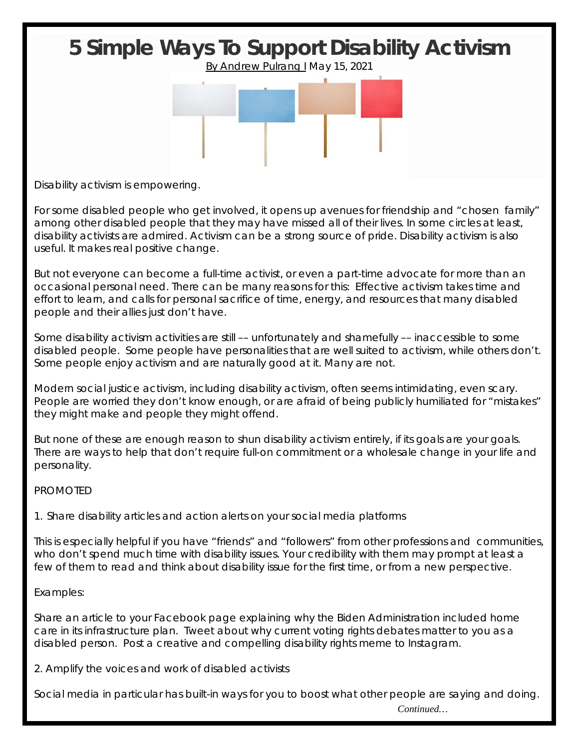# **5 Simple Ways To Support Disability Activism**



Disability activism is empowering.

For some disabled people who get involved, it opens up avenues for friendship and "chosen family" among other disabled people that they may have missed all of their lives. In some circles at least, disability activists are admired. Activism can be a strong source of pride. Disability activism is also useful. It makes real positive change.

But not everyone can become a full-time activist, or even a part-time advocate for more than an occasional personal need. There can be many reasons for this: Effective activism takes time and effort to learn, and calls for personal sacrifice of time, energy, and resources that many disabled people and their allies just don't have.

Some disability activism activities are still –– unfortunately and shamefully –– inaccessible to some disabled people. Some people have personalities that are well suited to activism, while others don't. Some people enjoy activism and are naturally good at it. Many are not.

Modern social justice activism, including disability activism, often seems intimidating, even scary. People are worried they don't know enough, or are afraid of being publicly humiliated for "mistakes" they might make and people they might offend.

But none of these are enough reason to shun disability activism entirely, if its goals are your goals. There are ways to help that don't require full-on commitment or a wholesale change in your life and personality.

#### PROMOTED

1. Share disability articles and action alerts on your social media platforms

This is especially helpful if you have "friends" and "followers" from other professions and communities, who don't spend much time with disability issues. Your credibility with them may prompt at least a few of them to read and think about disability issue for the first time, or from a new perspective.

#### Examples:

Share an article to your Facebook page explaining why the Biden Administration included home care in its infrastructure plan. Tweet about why current voting rights debates matter to you as a disabled person. Post a creative and compelling disability rights meme to Instagram.

2. Amplify the voices and work of disabled activists

Social media in particular has built-in ways for you to boost what other people are saying and doing. *Continued…*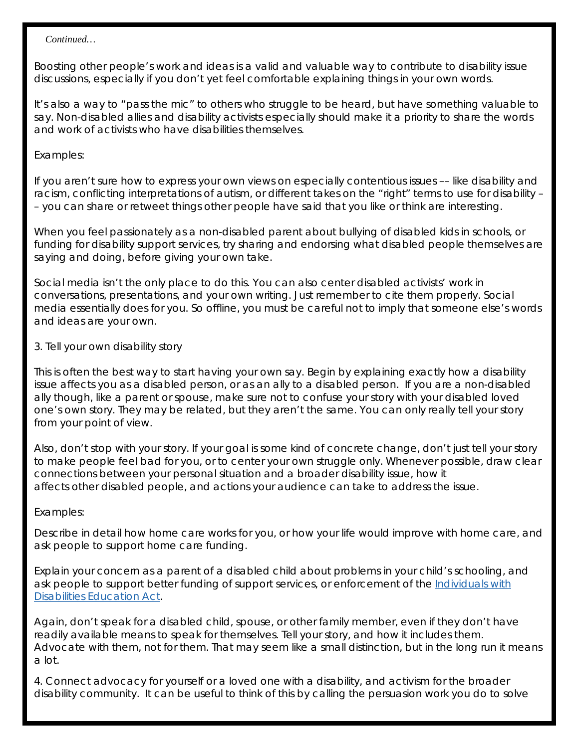#### *Continued…*

Boosting other people's work and ideas is a valid and valuable way to contribute to disability issue discussions, especially if you don't yet feel comfortable explaining things in your own words.

It's also a way to "pass the mic" to others who struggle to be heard, but have something valuable to say. Non-disabled allies and disability activists especially should make it a priority to share the words and work of activists who have disabilities themselves.

#### Examples:

If you aren't sure how to express your own views on especially contentious issues –– like disability and racism, conflicting interpretations of autism, or different takes on the "right" terms to use for disability – – you can share or retweet things other people have said that you like or think are interesting.

When you feel passionately as a non-disabled parent about bullying of disabled kids in schools, or funding for disability support services, try sharing and endorsing what disabled people themselves are saying and doing, before giving your own take.

Social media isn't the only place to do this. You can also center disabled activists' work in conversations, presentations, and your own writing. Just remember to cite them properly. Social media essentially does for you. So offline, you must be careful not to imply that someone else's words and ideas are your own.

3. Tell your own disability story

This is often the best way to start having your own say. Begin by explaining exactly how a disability issue affects you as a disabled person, or as an ally to a disabled person. If you are a non-disabled ally though, like a parent or spouse, make sure not to confuse your story with your disabled loved one's own story. They may be related, but they aren't the same. You can only really tell your story from your point of view.

Also, don't stop with your story. If your goal is some kind of concrete change, don't just tell your story to make people feel bad for you, or to center your own struggle only. Whenever possible, draw clear connections between your personal situation and a broader disability issue, how it affects other disabled people, and actions your audience can take to address the issue.

#### Examples:

Describe in detail how home care works for you, or how your life would improve with home care, and ask people to support home care funding.

Explain your concern as a parent of a disabled child about problems in your child's schooling, and ask people to support better funding of support services, or enforcement of the Individuals with Disabilities Education Act.

Again, don't speak for a disabled child, spouse, or other family member, even if they don't have readily available means to speak for themselves. Tell your story, and how it includes them. Advocate with them, not for them. That may seem like a small distinction, but in the long run it means a lot.

4. Connect advocacy for yourself or a loved one with a disability, and activism for the broader disability community. It can be useful to think of this by calling the persuasion work you do to solve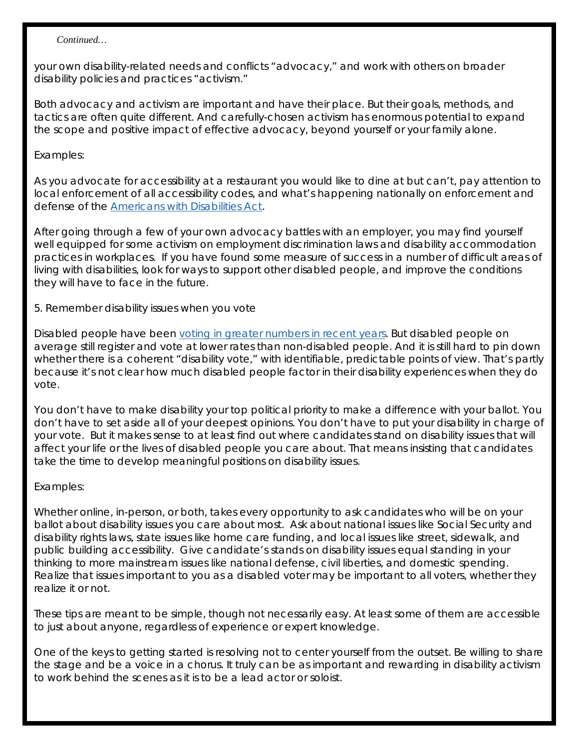#### *Continued…*

your own disability-related needs and conflicts "advocacy," and work with others on broader disability policies and practices "activism."

Both advocacy and activism are important and have their place. But their goals, methods, and tactics are often quite different. And carefully-chosen activism has enormous potential to expand the scope and positive impact of effective advocacy, beyond yourself or your family alone.

#### Examples:

As you advocate for accessibility at a restaurant you would like to dine at but can't, pay attention to local enforcement of all accessibility codes, and what's happening nationally on enforcement and defense of the Americans with Disabilities Act.

After going through a few of your own advocacy battles with an employer, you may find yourself well equipped for some activism on employment discrimination laws and disability accommodation practices in workplaces. If you have found some measure of success in a number of difficult areas of living with disabilities, look for ways to support other disabled people, and improve the conditions they will have to face in the future.

5. Remember disability issues when you vote

Disabled people have been voting in greater numbers in recent years. But disabled people on average still register and vote at lower rates than non-disabled people. And it is still hard to pin down whether there is a coherent "disability vote," with identifiable, predictable points of view. That's partly because it's not clear how much disabled people factor in their disability experiences when they do vote.

You don't have to make disability your top political priority to make a difference with your ballot. You don't have to set aside all of your deepest opinions. You don't have to put your disability in charge of your vote. But it makes sense to at least find out where candidates stand on disability issues that will affect your life or the lives of disabled people you care about. That means insisting that candidates take the time to develop meaningful positions on disability issues.

#### Examples:

Whether online, in-person, or both, takes every opportunity to ask candidates who will be on your ballot about disability issues you care about most. Ask about national issues like Social Security and disability rights laws, state issues like home care funding, and local issues like street, sidewalk, and public building accessibility. Give candidate's stands on disability issues equal standing in your thinking to more mainstream issues like national defense, civil liberties, and domestic spending. Realize that issues important to you as a disabled voter may be important to all voters, whether they realize it or not.

These tips are meant to be simple, though not necessarily easy. At least some of them are accessible to just about anyone, regardless of experience or expert knowledge.

One of the keys to getting started is resolving not to center yourself from the outset. Be willing to share the stage and be a voice in a chorus. It truly can be as important and rewarding in disability activism to work behind the scenes as it is to be a lead actor or soloist.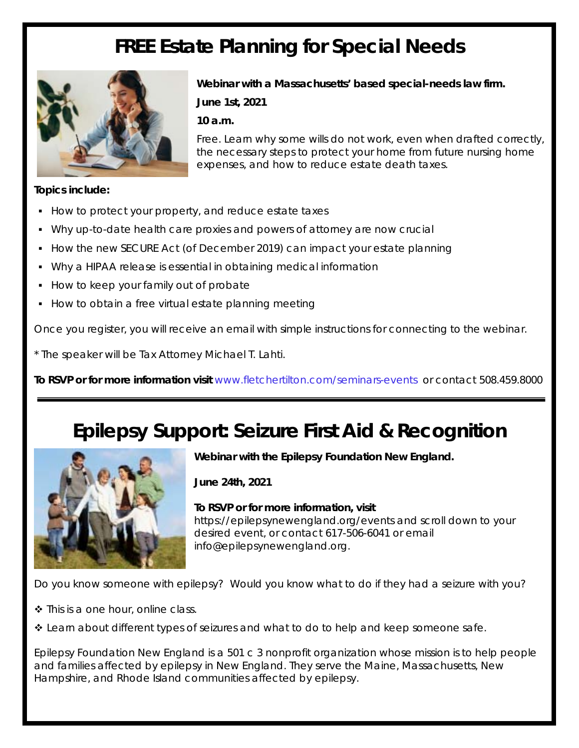### **FREE Estate Planning for Special Needs**



#### **Webinar with a Massachusetts' based special-needs law firm.**

**June 1st, 2021** 

**10 a.m.** 

Free. Learn why some wills do not work, even when drafted correctly, the necessary steps to protect your home from future nursing home expenses, and how to reduce estate death taxes.

#### **Topics include:**

- How to protect your property, and reduce estate taxes
- Why up-to-date health care proxies and powers of attorney are now crucial
- How the new SECURE Act (of December 2019) can impact your estate planning
- Why a HIPAA release is essential in obtaining medical information
- How to keep your family out of probate
- How to obtain a free virtual estate planning meeting

Once you register, you will receive an email with simple instructions for connecting to the webinar.

\* The speaker will be Tax Attorney Michael T. Lahti.

**To RSVP or for more information visit** www.fletchertilton.com/seminars-events or contact 508.459.8000

### **Epilepsy Support: Seizure First Aid & Recognition**



**Webinar with the Epilepsy Foundation New England.**

**June 24th, 2021** 

**To RSVP or for more information, visit** https://epilepsynewengland.org/events and scroll down to your desired event, or contact 617-506-6041 or email info@epilepsynewengland.org.

Do you know someone with epilepsy? Would you know what to do if they had a seizure with you?

- $\div$  This is a one hour, online class.
- Learn about different types of seizures and what to do to help and keep someone safe.

Epilepsy Foundation New England is a 501 c 3 nonprofit organization whose mission is to help people and families affected by epilepsy in New England. They serve the Maine, Massachusetts, New Hampshire, and Rhode Island communities affected by epilepsy.